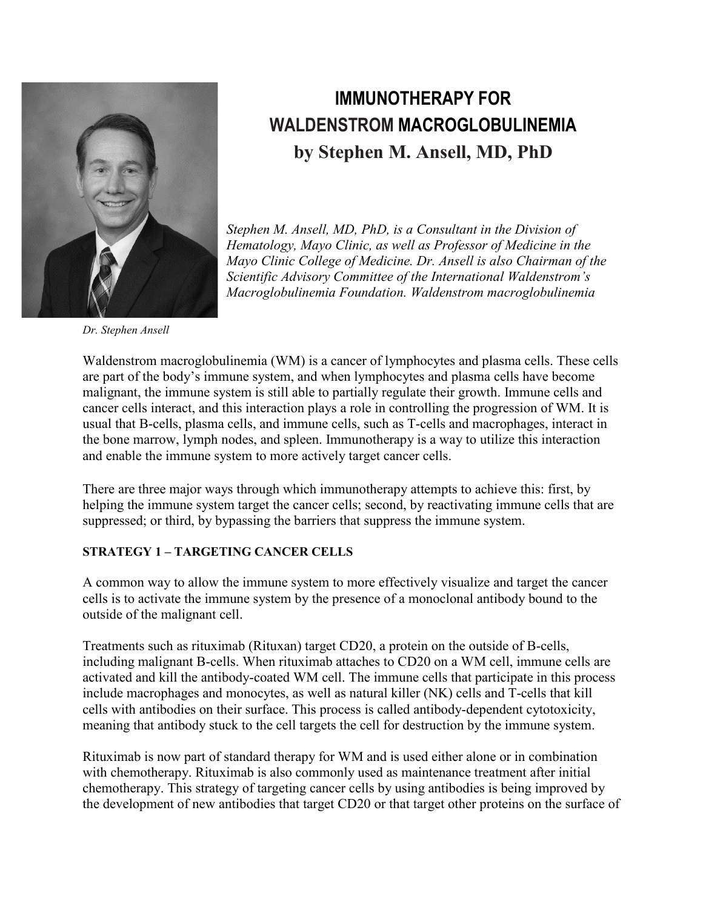

# **IMMUNOTHERAPY FOR WALDENSTROM MACROGLOBULINEMIA by Stephen M. Ansell, MD, PhD**

*Stephen M. Ansell, MD, PhD, is a Consultant in the Division of Hematology, Mayo Clinic, as well as Professor of Medicine in the Mayo Clinic College of Medicine. Dr. Ansell is also Chairman of the Scientific Advisory Committee of the International Waldenstrom's Macroglobulinemia Foundation. Waldenstrom macroglobulinemia*

*Dr. Stephen Ansell*

Waldenstrom macroglobulinemia (WM) is a cancer of lymphocytes and plasma cells. These cells are part of the body's immune system, and when lymphocytes and plasma cells have become malignant, the immune system is still able to partially regulate their growth. Immune cells and cancer cells interact, and this interaction plays a role in controlling the progression of WM. It is usual that B-cells, plasma cells, and immune cells, such as T-cells and macrophages, interact in the bone marrow, lymph nodes, and spleen. Immunotherapy is a way to utilize this interaction and enable the immune system to more actively target cancer cells.

There are three major ways through which immunotherapy attempts to achieve this: first, by helping the immune system target the cancer cells; second, by reactivating immune cells that are suppressed; or third, by bypassing the barriers that suppress the immune system.

# **STRATEGY 1 – TARGETING CANCER CELLS**

A common way to allow the immune system to more effectively visualize and target the cancer cells is to activate the immune system by the presence of a monoclonal antibody bound to the outside of the malignant cell.

Treatments such as rituximab (Rituxan) target CD20, a protein on the outside of B-cells, including malignant B-cells. When rituximab attaches to CD20 on a WM cell, immune cells are activated and kill the antibody-coated WM cell. The immune cells that participate in this process include macrophages and monocytes, as well as natural killer (NK) cells and T-cells that kill cells with antibodies on their surface. This process is called antibody-dependent cytotoxicity, meaning that antibody stuck to the cell targets the cell for destruction by the immune system.

Rituximab is now part of standard therapy for WM and is used either alone or in combination with chemotherapy. Rituximab is also commonly used as maintenance treatment after initial chemotherapy. This strategy of targeting cancer cells by using antibodies is being improved by the development of new antibodies that target CD20 or that target other proteins on the surface of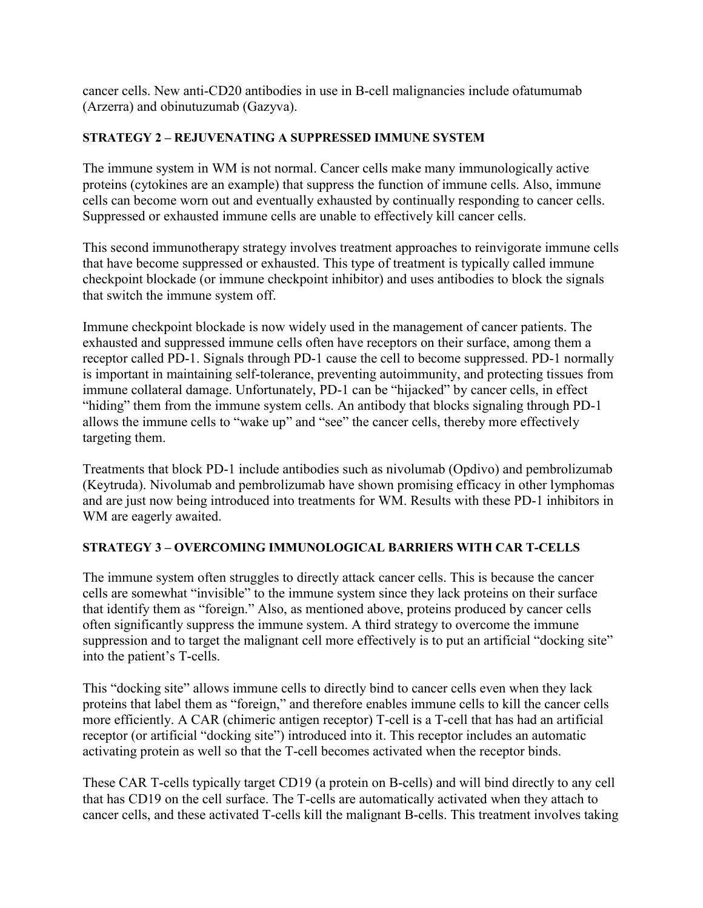cancer cells. New anti-CD20 antibodies in use in B-cell malignancies include ofatumumab (Arzerra) and obinutuzumab (Gazyva).

### **STRATEGY 2 – REJUVENATING A SUPPRESSED IMMUNE SYSTEM**

The immune system in WM is not normal. Cancer cells make many immunologically active proteins (cytokines are an example) that suppress the function of immune cells. Also, immune cells can become worn out and eventually exhausted by continually responding to cancer cells. Suppressed or exhausted immune cells are unable to effectively kill cancer cells.

This second immunotherapy strategy involves treatment approaches to reinvigorate immune cells that have become suppressed or exhausted. This type of treatment is typically called immune checkpoint blockade (or immune checkpoint inhibitor) and uses antibodies to block the signals that switch the immune system off.

Immune checkpoint blockade is now widely used in the management of cancer patients. The exhausted and suppressed immune cells often have receptors on their surface, among them a receptor called PD-1. Signals through PD-1 cause the cell to become suppressed. PD-1 normally is important in maintaining self-tolerance, preventing autoimmunity, and protecting tissues from immune collateral damage. Unfortunately, PD-1 can be "hijacked" by cancer cells, in effect "hiding" them from the immune system cells. An antibody that blocks signaling through PD-1 allows the immune cells to "wake up" and "see" the cancer cells, thereby more effectively targeting them.

Treatments that block PD-1 include antibodies such as nivolumab (Opdivo) and pembrolizumab (Keytruda). Nivolumab and pembrolizumab have shown promising efficacy in other lymphomas and are just now being introduced into treatments for WM. Results with these PD-1 inhibitors in WM are eagerly awaited.

# **STRATEGY 3 – OVERCOMING IMMUNOLOGICAL BARRIERS WITH CAR T-CELLS**

The immune system often struggles to directly attack cancer cells. This is because the cancer cells are somewhat "invisible" to the immune system since they lack proteins on their surface that identify them as "foreign." Also, as mentioned above, proteins produced by cancer cells often significantly suppress the immune system. A third strategy to overcome the immune suppression and to target the malignant cell more effectively is to put an artificial "docking site" into the patient's T-cells.

This "docking site" allows immune cells to directly bind to cancer cells even when they lack proteins that label them as "foreign," and therefore enables immune cells to kill the cancer cells more efficiently. A CAR (chimeric antigen receptor) T-cell is a T-cell that has had an artificial receptor (or artificial "docking site") introduced into it. This receptor includes an automatic activating protein as well so that the T-cell becomes activated when the receptor binds.

These CAR T-cells typically target CD19 (a protein on B-cells) and will bind directly to any cell that has CD19 on the cell surface. The T-cells are automatically activated when they attach to cancer cells, and these activated T-cells kill the malignant B-cells. This treatment involves taking